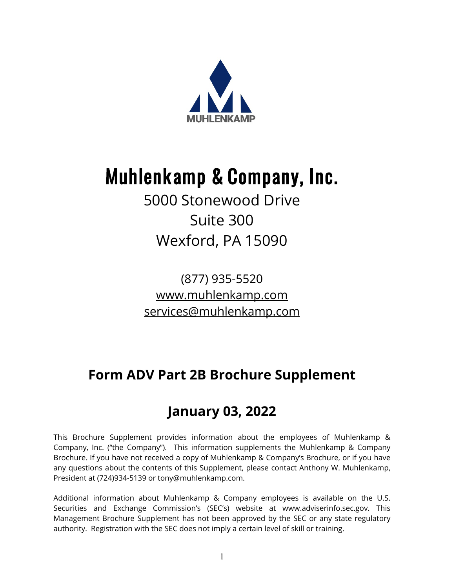

# Muhlenkamp & Company, Inc.

### 5000 Stonewood Drive Suite 300 Wexford, PA 15090

(877) 935-5520 [www.muhlenkamp.com](http://www.muhlenkamp.com/) [services@muhlenkamp.com](mailto:services@muhlenkamp.com)

### **Form ADV Part 2B Brochure Supplement**

### **January 03, 2022**

This Brochure Supplement provides information about the employees of Muhlenkamp & Company, Inc. ("the Company"). This information supplements the Muhlenkamp & Company Brochure. If you have not received a copy of Muhlenkamp & Company's Brochure, or if you have any questions about the contents of this Supplement, please contact Anthony W. Muhlenkamp, President at (724)934-5139 or tony@muhlenkamp.com.

Additional information about Muhlenkamp & Company employees is available on the U.S. Securities and Exchange Commission's (SEC's) website at www.adviserinfo.sec.gov. This Management Brochure Supplement has not been approved by the SEC or any state regulatory authority. Registration with the SEC does not imply a certain level of skill or training.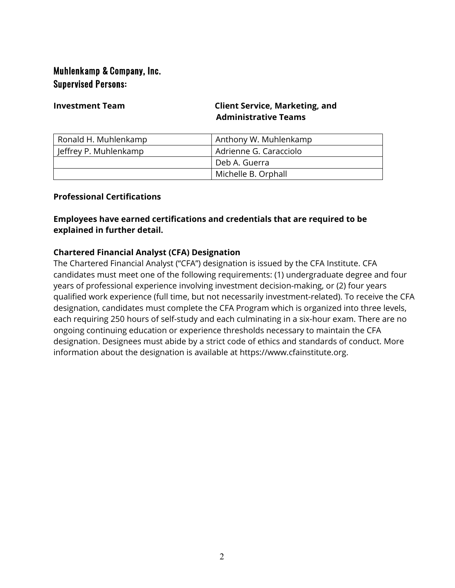### Muhlenkamp & Company, Inc. Supervised Persons:

### **Investment Team Client Service, Marketing, and Administrative Teams**

| Ronald H. Muhlenkamp  | Anthony W. Muhlenkamp  |
|-----------------------|------------------------|
| Jeffrey P. Muhlenkamp | Adrienne G. Caracciolo |
|                       | Deb A. Guerra          |
|                       | Michelle B. Orphall    |

### **Professional Certifications**

### **Employees have earned certifications and credentials that are required to be explained in further detail.**

### **Chartered Financial Analyst (CFA) Designation**

The Chartered Financial Analyst ("CFA") designation is issued by the CFA Institute. CFA candidates must meet one of the following requirements: (1) undergraduate degree and four years of professional experience involving investment decision-making, or (2) four years qualified work experience (full time, but not necessarily investment-related). To receive the CFA designation, candidates must complete the CFA Program which is organized into three levels, each requiring 250 hours of self-study and each culminating in a six-hour exam. There are no ongoing continuing education or experience thresholds necessary to maintain the CFA designation. Designees must abide by a strict code of ethics and standards of conduct. More information about the designation is available at https://www.cfainstitute.org.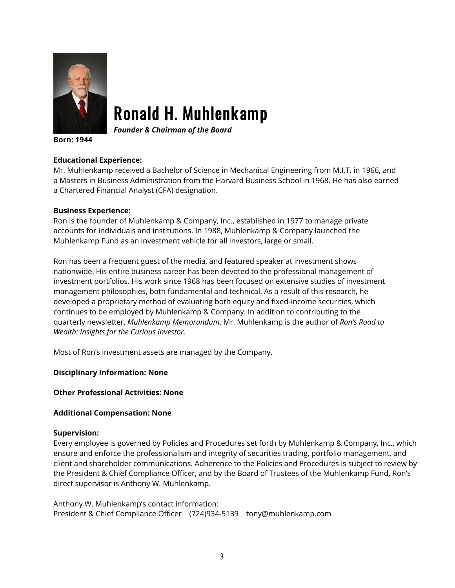

### Ronald H. Muhlenkamp

*Founder & Chairman of the Board*

**Born: 1944**

### **Educational Experience:**

Mr. Muhlenkamp received a Bachelor of Science in Mechanical Engineering from M.I.T. in 1966, and a Masters in Business Administration from the Harvard Business School in 1968. He has also earned a Chartered Financial Analyst (CFA) designation.

### **Business Experience:**

Ron is the founder of Muhlenkamp & Company, Inc., established in 1977 to manage private accounts for individuals and institutions. In 1988, Muhlenkamp & Company launched the Muhlenkamp Fund as an investment vehicle for all investors, large or small.

Ron has been a frequent guest of the media, and featured speaker at investment shows nationwide. His entire business career has been devoted to the professional management of investment portfolios. His work since 1968 has been focused on extensive studies of investment management philosophies, both fundamental and technical. As a result of this research, he developed a proprietary method of evaluating both equity and fixed-income securities, which continues to be employed by Muhlenkamp & Company. In addition to contributing to the quarterly newsletter, *Muhlenkamp Memorandum*, Mr. Muhlenkamp is the author of *Ron's Road to Wealth: Insights for the Curious Investor.*

Most of Ron's investment assets are managed by the Company.

**Disciplinary Information: None**

### **Other Professional Activities: None**

### **Additional Compensation: None**

### **Supervision:**

Every employee is governed by Policies and Procedures set forth by Muhlenkamp & Company, Inc., which ensure and enforce the professionalism and integrity of securities trading, portfolio management, and client and shareholder communications. Adherence to the Policies and Procedures is subject to review by the President & Chief Compliance Officer, and by the Board of Trustees of the Muhlenkamp Fund. Ron's direct supervisor is Anthony W. Muhlenkamp.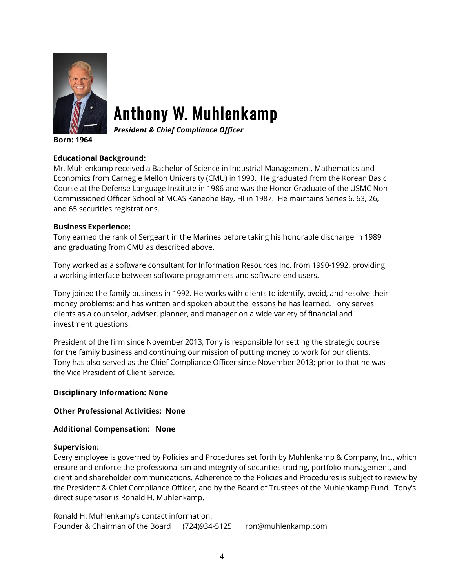

# Anthony W. Muhlenkamp

*President & Chief Compliance Officer*

**Born: 1964**

### **Educational Background:**

Mr. Muhlenkamp received a Bachelor of Science in Industrial Management, Mathematics and Economics from Carnegie Mellon University (CMU) in 1990. He graduated from the Korean Basic Course at the Defense Language Institute in 1986 and was the Honor Graduate of the USMC Non-Commissioned Officer School at MCAS Kaneohe Bay, HI in 1987. He maintains Series 6, 63, 26, and 65 securities registrations.

### **Business Experience:**

Tony earned the rank of Sergeant in the Marines before taking his honorable discharge in 1989 and graduating from CMU as described above.

Tony worked as a software consultant for Information Resources Inc. from 1990-1992, providing a working interface between software programmers and software end users.

Tony joined the family business in 1992. He works with clients to identify, avoid, and resolve their money problems; and has written and spoken about the lessons he has learned. Tony serves clients as a counselor, adviser, planner, and manager on a wide variety of financial and investment questions.

President of the firm since November 2013, Tony is responsible for setting the strategic course for the family business and continuing our mission of putting money to work for our clients. Tony has also served as the Chief Compliance Officer since November 2013; prior to that he was the Vice President of Client Service.

### **Disciplinary Information: None**

### **Other Professional Activities: None**

### **Additional Compensation: None**

### **Supervision:**

Every employee is governed by Policies and Procedures set forth by Muhlenkamp & Company, Inc., which ensure and enforce the professionalism and integrity of securities trading, portfolio management, and client and shareholder communications. Adherence to the Policies and Procedures is subject to review by the President & Chief Compliance Officer, and by the Board of Trustees of the Muhlenkamp Fund. Tony's direct supervisor is Ronald H. Muhlenkamp.

Ronald H. Muhlenkamp's contact information: Founder & Chairman of the Board (724)934-5125 ron@muhlenkamp.com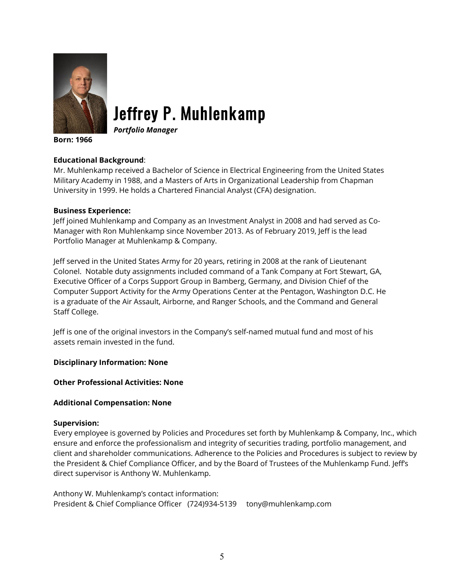

# Jeffrey P. Muhlenkamp

*Portfolio Manager*

**Born: 1966**

### **Educational Background**:

Mr. Muhlenkamp received a Bachelor of Science in Electrical Engineering from the United States Military Academy in 1988, and a Masters of Arts in Organizational Leadership from Chapman University in 1999. He holds a Chartered Financial Analyst (CFA) designation.

### **Business Experience:**

Jeff joined Muhlenkamp and Company as an Investment Analyst in 2008 and had served as Co-Manager with Ron Muhlenkamp since November 2013. As of February 2019, Jeff is the lead Portfolio Manager at Muhlenkamp & Company.

Jeff served in the United States Army for 20 years, retiring in 2008 at the rank of Lieutenant Colonel. Notable duty assignments included command of a Tank Company at Fort Stewart, GA, Executive Officer of a Corps Support Group in Bamberg, Germany, and Division Chief of the Computer Support Activity for the Army Operations Center at the Pentagon, Washington D.C. He is a graduate of the Air Assault, Airborne, and Ranger Schools, and the Command and General Staff College.

Jeff is one of the original investors in the Company's self-named mutual fund and most of his assets remain invested in the fund.

### **Disciplinary Information: None**

### **Other Professional Activities: None**

### **Additional Compensation: None**

### **Supervision:**

Every employee is governed by Policies and Procedures set forth by Muhlenkamp & Company, Inc., which ensure and enforce the professionalism and integrity of securities trading, portfolio management, and client and shareholder communications. Adherence to the Policies and Procedures is subject to review by the President & Chief Compliance Officer, and by the Board of Trustees of the Muhlenkamp Fund. Jeff's direct supervisor is Anthony W. Muhlenkamp.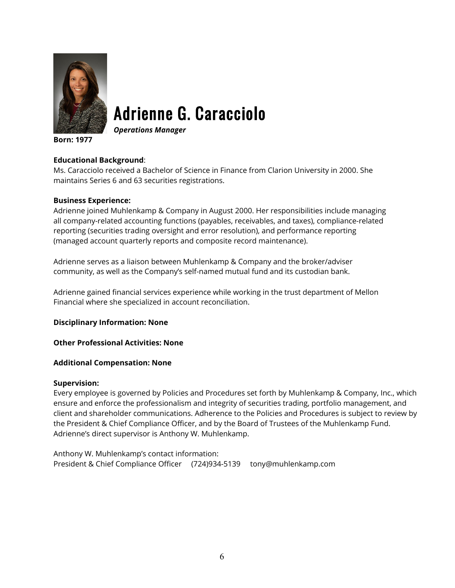

# Adrienne G. Caracciolo

*Operations Manager*

**Born: 1977**

### **Educational Background**:

Ms. Caracciolo received a Bachelor of Science in Finance from Clarion University in 2000. She maintains Series 6 and 63 securities registrations.

### **Business Experience:**

Adrienne joined Muhlenkamp & Company in August 2000. Her responsibilities include managing all company-related accounting functions (payables, receivables, and taxes), compliance-related reporting (securities trading oversight and error resolution), and performance reporting (managed account quarterly reports and composite record maintenance).

Adrienne serves as a liaison between Muhlenkamp & Company and the broker/adviser community, as well as the Company's self-named mutual fund and its custodian bank.

Adrienne gained financial services experience while working in the trust department of Mellon Financial where she specialized in account reconciliation.

**Disciplinary Information: None**

**Other Professional Activities: None**

### **Additional Compensation: None**

### **Supervision:**

Every employee is governed by Policies and Procedures set forth by Muhlenkamp & Company, Inc., which ensure and enforce the professionalism and integrity of securities trading, portfolio management, and client and shareholder communications. Adherence to the Policies and Procedures is subject to review by the President & Chief Compliance Officer, and by the Board of Trustees of the Muhlenkamp Fund. Adrienne's direct supervisor is Anthony W. Muhlenkamp.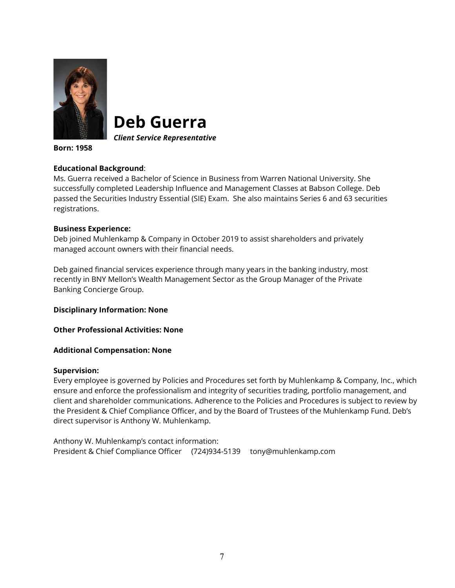

**Deb Guerra**

*Client Service Representative*

**Born: 1958**

### **Educational Background**:

Ms. Guerra received a Bachelor of Science in Business from Warren National University. She successfully completed Leadership Influence and Management Classes at Babson College. Deb passed the Securities Industry Essential (SIE) Exam. She also maintains Series 6 and 63 securities registrations.

### **Business Experience:**

Deb joined Muhlenkamp & Company in October 2019 to assist shareholders and privately managed account owners with their financial needs.

Deb gained financial services experience through many years in the banking industry, most recently in BNY Mellon's Wealth Management Sector as the Group Manager of the Private Banking Concierge Group.

**Disciplinary Information: None**

**Other Professional Activities: None**

**Additional Compensation: None**

### **Supervision:**

Every employee is governed by Policies and Procedures set forth by Muhlenkamp & Company, Inc., which ensure and enforce the professionalism and integrity of securities trading, portfolio management, and client and shareholder communications. Adherence to the Policies and Procedures is subject to review by the President & Chief Compliance Officer, and by the Board of Trustees of the Muhlenkamp Fund. Deb's direct supervisor is Anthony W. Muhlenkamp.